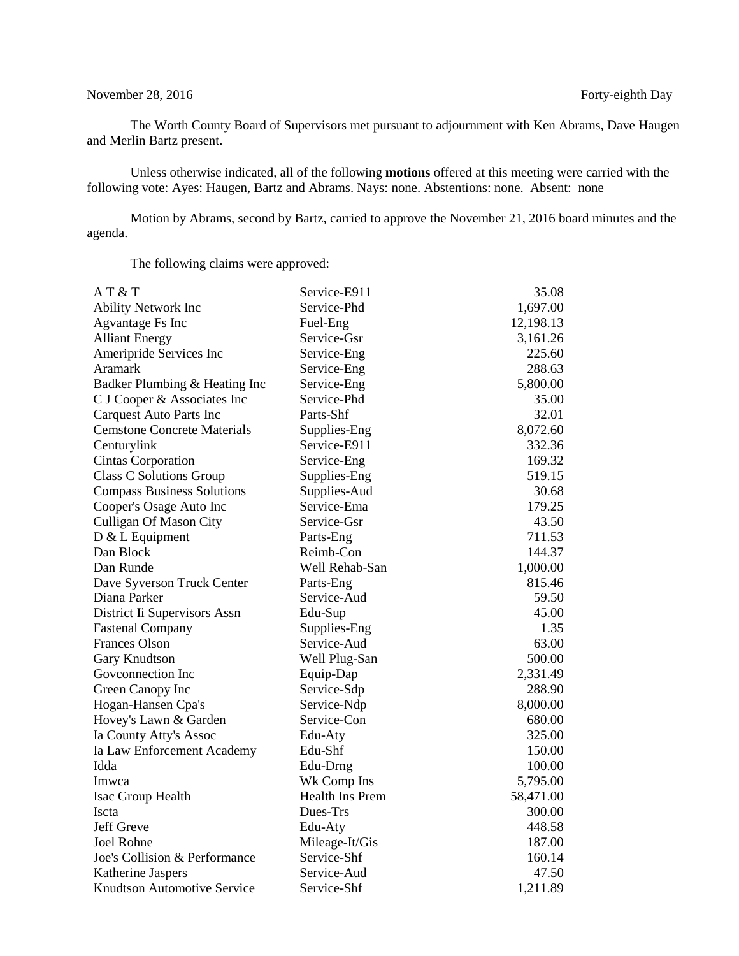## November 28, 2016 Forty-eighth Day

The Worth County Board of Supervisors met pursuant to adjournment with Ken Abrams, Dave Haugen and Merlin Bartz present.

Unless otherwise indicated, all of the following **motions** offered at this meeting were carried with the following vote: Ayes: Haugen, Bartz and Abrams. Nays: none. Abstentions: none. Absent: none

Motion by Abrams, second by Bartz, carried to approve the November 21, 2016 board minutes and the agenda.

The following claims were approved:

| AT&T                               | Service-E911    | 35.08     |
|------------------------------------|-----------------|-----------|
| <b>Ability Network Inc</b>         | Service-Phd     | 1,697.00  |
| Agvantage Fs Inc                   | Fuel-Eng        | 12,198.13 |
| <b>Alliant Energy</b>              | Service-Gsr     | 3,161.26  |
| Ameripride Services Inc            | Service-Eng     | 225.60    |
| Aramark                            | Service-Eng     | 288.63    |
| Badker Plumbing & Heating Inc      | Service-Eng     | 5,800.00  |
| C J Cooper & Associates Inc        | Service-Phd     | 35.00     |
| <b>Carquest Auto Parts Inc</b>     | Parts-Shf       | 32.01     |
| <b>Cemstone Concrete Materials</b> | Supplies-Eng    | 8,072.60  |
| Centurylink                        | Service-E911    | 332.36    |
| <b>Cintas Corporation</b>          | Service-Eng     | 169.32    |
| Class C Solutions Group            | Supplies-Eng    | 519.15    |
| <b>Compass Business Solutions</b>  | Supplies-Aud    | 30.68     |
| Cooper's Osage Auto Inc            | Service-Ema     | 179.25    |
| Culligan Of Mason City             | Service-Gsr     | 43.50     |
| $D & L$ Equipment                  | Parts-Eng       | 711.53    |
| Dan Block                          | Reimb-Con       | 144.37    |
| Dan Runde                          | Well Rehab-San  | 1,000.00  |
| Dave Syverson Truck Center         | Parts-Eng       | 815.46    |
| Diana Parker                       | Service-Aud     | 59.50     |
| District Ii Supervisors Assn       | Edu-Sup         | 45.00     |
| <b>Fastenal Company</b>            | Supplies-Eng    | 1.35      |
| <b>Frances Olson</b>               | Service-Aud     | 63.00     |
| Gary Knudtson                      | Well Plug-San   | 500.00    |
| Goveonnection Inc                  | Equip-Dap       | 2,331.49  |
| Green Canopy Inc                   | Service-Sdp     | 288.90    |
| Hogan-Hansen Cpa's                 | Service-Ndp     | 8,000.00  |
| Hovey's Lawn & Garden              | Service-Con     | 680.00    |
| Ia County Atty's Assoc             | Edu-Aty         | 325.00    |
| Ia Law Enforcement Academy         | Edu-Shf         | 150.00    |
| Idda                               | Edu-Drng        | 100.00    |
| Imwca                              | Wk Comp Ins     | 5,795.00  |
| Isac Group Health                  | Health Ins Prem | 58,471.00 |
| <b>Iscta</b>                       | Dues-Trs        | 300.00    |
| Jeff Greve                         | Edu-Aty         | 448.58    |
| Joel Rohne                         | Mileage-It/Gis  | 187.00    |
| Joe's Collision & Performance      | Service-Shf     | 160.14    |
| Katherine Jaspers                  | Service-Aud     | 47.50     |
| Knudtson Automotive Service        | Service-Shf     | 1,211.89  |